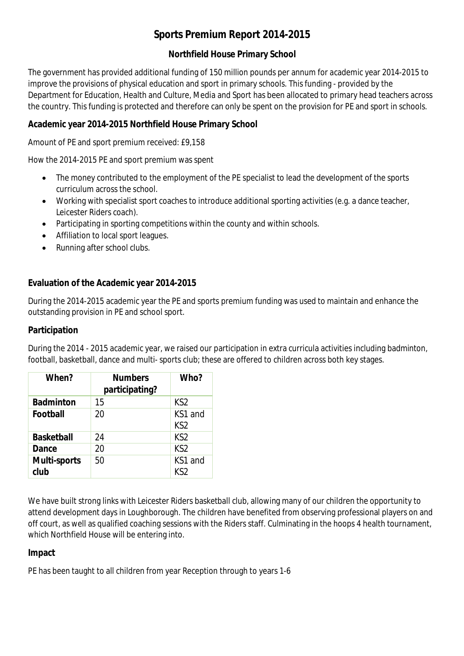# **Sports Premium Report 2014-2015**

### **Northfield House Primary School**

The government has provided additional funding of 150 million pounds per annum for academic year 2014-2015 to improve the provisions of physical education and sport in primary schools. This funding - provided by the Department for Education, Health and Culture, Media and Sport has been allocated to primary head teachers across the country. This funding is protected and therefore can only be spent on the provision for PE and sport in schools.

### **Academic year 2014-2015 Northfield House Primary School**

Amount of PE and sport premium received: £9,158

How the 2014-2015 PE and sport premium was spent

- The money contributed to the employment of the PE specialist to lead the development of the sports curriculum across the school.
- Working with specialist sport coaches to introduce additional sporting activities (e.g. a dance teacher, Leicester Riders coach).
- Participating in sporting competitions within the county and within schools.
- Affiliation to local sport leagues.
- Running after school clubs.

#### **Evaluation of the Academic year 2014-2015**

During the 2014-2015 academic year the PE and sports premium funding was used to maintain and enhance the outstanding provision in PE and school sport.

#### **Participation**

| When?                       | <b>Numbers</b><br>participating? | Who?                       |
|-----------------------------|----------------------------------|----------------------------|
| <b>Badminton</b>            | 15                               | KS <sub>2</sub>            |
| <b>Football</b>             | 20                               | KS1 and<br>KS <sub>2</sub> |
| <b>Basketball</b>           | 24                               | KS <sub>2</sub>            |
| Dance                       | 20                               | KS <sub>2</sub>            |
| <b>Multi-sports</b><br>club | 50                               | KS1 and<br>KS2             |

During the 2014 - 2015 academic year, we raised our participation in extra curricula activities including badminton, football, basketball, dance and multi- sports club; these are offered to children across both key stages.

We have built strong links with Leicester Riders basketball club, allowing many of our children the opportunity to attend development days in Loughborough. The children have benefited from observing professional players on and off court, as well as qualified coaching sessions with the Riders staff. Culminating in the hoops 4 health tournament, which Northfield House will be entering into.

#### **Impact**

PE has been taught to all children from year Reception through to years 1-6